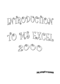





**IZMIR UNIVERSITY OF ECONOMICS**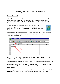# **Creating an Excel 2000 Spreadsheet**

### **Starting Excel 2000**

In the following exercises you will **learn** some of the necessary steps to **create** a **spreadsheet** using **Microsoft Excel 2000**. You will learn not only how to type various items into the spreadsheet, but also how to copy columns, widen columns, fill columns, add, subtract, multiply, divide, and a variety of other things.

To begin, **load** the spreadsheet by **clicking twice** on the **Excel 2000 Windows Icon,** to do this click-on the **Start Button** in the **lower left corner** of the screen, move the cursor up to **Programs**, and then move to **Microsoft Excel** and click once on it using the left button on your mouse.



A **spreadsheet** is a "**number manipulator**." To make the manipulation of numbers easier **all spreadsheets** are organized into **rows** and **columns**. Your initial spreadsheet will look something like the following:

|   |    | Microsoft Excel - Book1                                                                                                                                                             |   |   |   |   |       |
|---|----|-------------------------------------------------------------------------------------------------------------------------------------------------------------------------------------|---|---|---|---|-------|
|   |    | File Edit View Insert Format Tools Data Window Help                                                                                                                                 |   |   |   |   |       |
|   |    | $ \mathbb{D} \times \mathbf{H}  \oplus  \mathbf{B} \times \mathbf{W} $ , and $ \mathbf{B} \times \mathbf{H} $ , $ \mathbf{B} \times \mathbf{H} $ , $ \mathbf{B} \times \mathbf{H} $ |   |   |   |   | Arial |
|   | A1 |                                                                                                                                                                                     |   |   |   |   |       |
|   | А  | в                                                                                                                                                                                   | C | D | F | G | Н     |
|   |    |                                                                                                                                                                                     |   |   |   |   |       |
| 2 |    |                                                                                                                                                                                     |   |   |   |   |       |
| 3 |    |                                                                                                                                                                                     |   |   |   |   |       |
| 4 |    |                                                                                                                                                                                     |   |   |   |   |       |
| 5 |    |                                                                                                                                                                                     |   |   |   |   |       |
| 6 |    |                                                                                                                                                                                     |   |   |   |   |       |
| 7 |    |                                                                                                                                                                                     |   |   |   |   |       |
| 8 |    |                                                                                                                                                                                     |   |   |   |   |       |

**Notice** that the "**main**" part of the spreadsheet is composed of **Rows (Labeled 1, 2, 3, 4**, etc.) and **Columns (Labeled A, B, C, D**, etc.).

The "**intersection**" of **each row** and **column** is called a **cell**. In the image above the **cursor is on** the "**home**" **cell** – **A1**. **Notice Row 1 and Column A are "bold."** This **indicates** what is called the "**address** of the **cell**. **Notice that right above cell A1**, another **A1** is **displayed** in a **small box** called the **Name Box**. Whenever you "click" on a cell the address of that cell will be shown in the Name Box.

In this course, whenever it is indicated that you need to **click** the mouse, it will mean to **click** the **left mouse button** – unless it is indicated that you should click the right mouse button.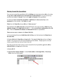### **Moving Around the Spreadsheet**

You can move around the spreadsheet/cells by **clicking** your mouse **on** various **cells**, or by using the **up, down, right and left arrow movement keys on the keyboard**. Or, you can move up and down by using the "**elevator**" bars on the **right** and **bottom** of the spreadsheet.

Go ahead and **move around the spreadsheet**. **Hold down** the **down arrow key** on the **keyboard** for a few seconds – then **click**-on a **cell**.

**Notice** how the **Name Box** always **tells** you "**where you are**."

Now hold down the **right arrow key** on the keyboard for a few more seconds. **Notice** how the **alphabet changes** from **single letters (A, B, C,. …. Z**) to **several letter combinations (AA, AB, AC**). There are **hundreds of columns** and **thousands of rows** in a spreadsheet.

**There are two ways** to **return** to the **Home Cell (A1):** 

**1.** On your keyboard locate and **hold down the Ctrl key,** now find and press the **Home key at the same time.** 

**2.** Simply **click-in** the **Name Box** and **type-in A1**. Then **tap** the **Enter key** and you will **go** to cell **A1**. You can go to any cell in the spreadsheet by this method. Simply type-in a row and column, tap the Enter key, and you'll go to that cell.

Now that you have the "feel" of how to move around the Excel spreadsheet, **go to** the **cells** as **indicated below** and **type-in** the following:

**1. Go to cell: Cl** 

**2. Type in (Your Name)'s Budget.** It should **look similar** to **the image below**. **Do not tap Enter** when you finish typing.

|    |  |                                                         | $ \mathbb{D} \cong \blacksquare$ @ @ @ $\mathbb{V}'$   $k$ & @   r $\lnot$ @ $\Sigma$ ) |  |
|----|--|---------------------------------------------------------|-----------------------------------------------------------------------------------------|--|
|    |  | $\mathbf{r}$ $\mathbf{X}$ $\mathbf{V}$ = Janie's Budget |                                                                                         |  |
|    |  |                                                         |                                                                                         |  |
|    |  | Janie's Budget                                          |                                                                                         |  |
|    |  |                                                         |                                                                                         |  |
| -3 |  |                                                         |                                                                                         |  |
|    |  |                                                         |                                                                                         |  |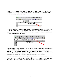**Look** at cells **C1** and **D1**. Notice how your **entry has spilled over from cell C1** into cell **D1**. Sometimes this is a problem, and sometimes it is not. Now **move** to cell **D1** and **type-in** the word **Bonzo** and **press the Enter key.** 

|  |  | 图 File Edit View Insert Format Tools Data Window Help                                                                                                                                                                                                                                                                                                                                                                                         |                  |  |  |  |
|--|--|-----------------------------------------------------------------------------------------------------------------------------------------------------------------------------------------------------------------------------------------------------------------------------------------------------------------------------------------------------------------------------------------------------------------------------------------------|------------------|--|--|--|
|  |  | $ \hspace{-.02in}[\hspace{-.1ex}] \hspace{-.04in}]\hspace{-.04in} \oplus \hspace{-.04in}[\hspace{-.1ex}[ \hspace{-.1ex} \Delta \hspace{-.04in} ] \hspace{-.04in}]\hspace{-.04in} \otimes \hspace{-.04in} [\hspace{-.1ex} \Delta \hspace{-.04in} ] \hspace{-.04in}]\hspace{-.04in} \otimes \hspace{-.04in} [\hspace{-.1ex} \Delta \hspace{-.04in} ] \hspace{-.04in}]\hspace{-.04in} \otimes \hspace{-.04in} [\hspace{-.1ex} \Delta \hspace{-.$ |                  |  |  |  |
|  |  |                                                                                                                                                                                                                                                                                                                                                                                                                                               | $X - I$ = Bonzo  |  |  |  |
|  |  |                                                                                                                                                                                                                                                                                                                                                                                                                                               |                  |  |  |  |
|  |  |                                                                                                                                                                                                                                                                                                                                                                                                                                               | Janie's Bu}Bonzo |  |  |  |
|  |  |                                                                                                                                                                                                                                                                                                                                                                                                                                               |                  |  |  |  |
|  |  |                                                                                                                                                                                                                                                                                                                                                                                                                                               |                  |  |  |  |

**Notice** how **Bonzo** now **covers** the **right part of your original entry**!! Now **move back** to cell **C1** and **click-on it**. Look at the upper part of the spreadsheet just above the cells where you typed. Your name and the word budget are still there. Bonzo only **covered** the **portion in cell D1**. **See the image and arrow below.**

|    | File Edit View Insert Format Tools Data Window Help                                                                                             |  |                  |  |  |  |  |
|----|-------------------------------------------------------------------------------------------------------------------------------------------------|--|------------------|--|--|--|--|
|    | $ \mathbf{D} \times \mathbf{H}  \oplus  \mathbf{B} \times \mathbf{W} $ ), and $ \mathbf{A} \times \mathbf{H} $ $ \mathbf{B} \times \mathbf{H} $ |  |                  |  |  |  |  |
|    | С1                                                                                                                                              |  | Janie's Budget   |  |  |  |  |
|    |                                                                                                                                                 |  |                  |  |  |  |  |
|    |                                                                                                                                                 |  | Janie's BulBonzo |  |  |  |  |
|    |                                                                                                                                                 |  |                  |  |  |  |  |
| -3 |                                                                                                                                                 |  |                  |  |  |  |  |
|    |                                                                                                                                                 |  |                  |  |  |  |  |

There are **several ways** to **take care** of this cell overlap problem. For the moment **move back** to cell **D1** and **click**-on cell **D1**. **Tap** the **Delete** key above the arrow movement keys on the **keyboard**. Notice that **Bonzo disappears** and your **entire entry reappears**. Deleting an entry is one way to expose the hidden entry in a cell, however deleting an entry is not always an option, and later in this course book we'll look at some other ways to solve this problem.

Now we'll continue making some entries. If you happen to **make a mistake** simply **retype the entries**. Any time you want to replace something in a cell you can simply retype a new entry and it will replace the old one. Later on we'll look at ways of how to edit typing mistakes.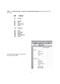**Move** to the **following cells** and **type-in** the **information indicated**. Press the enter key after each entry.

- **Cell Type-in**
- **A3 Income**
- **B4 Parents**
- **B5 Job**
- **B6 Investments**
- **B7 Total**
- **A10 Expenses**
- **B11 Food**
- **B12 Beverages**
- **Parties**
- **B14 Miscellaneous**
- **B15 Total**

| 国]            | Eile<br>Edit           | View Insert F <u>o</u> rmat Tools |                |    | <u>D</u> ata <u>W</u> in |
|---------------|------------------------|-----------------------------------|----------------|----|--------------------------|
|               | 0 <del>2</del> 8 8 6 7 |                                   | y.             | 电追 | ю.                       |
|               | <b>B17</b>             |                                   | =              |    |                          |
|               | А                      | B                                 | C              | D  |                          |
| 1             |                        |                                   | Janie's Budget |    |                          |
| $\frac{2}{3}$ |                        |                                   |                |    |                          |
|               | Income                 |                                   |                |    |                          |
| 4             |                        | Parents                           |                |    |                          |
| $rac{5}{6}$   |                        | Job                               |                |    |                          |
|               |                        | Investments                       |                |    |                          |
| 7             |                        | Total                             |                |    |                          |
| 8             |                        |                                   |                |    |                          |
| 9             |                        |                                   |                |    |                          |
| 10            | Expenses               |                                   |                |    |                          |
| 11            |                        | Food                              |                |    |                          |
| 12            |                        | Beverages                         |                |    |                          |
| 13            |                        | Parties                           |                |    |                          |
| 14            |                        | Miscellaneous                     |                |    |                          |
| 15            |                        | Total                             |                |    |                          |
| 16            |                        |                                   |                |    |                          |
| 17            |                        |                                   |                |    |                          |
| 18            |                        |                                   |                |    |                          |

Your spreadsheet should now look like the picture on the right.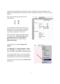At this point you probably have noticed, the words "Investments" and "Miscellaneous" have spilled over the space given in their cells. Do not be concerned at this point. We'll soon fix this problem.

Now, type the following numbers into the indicated cells:

| C4 | 300 |
|----|-----|
| C5 | 50  |
| C6 | 150 |

Your spreadsheet should look like the one on the right. Now we want to place an underline at the bottom of the three figures so that we can indicate a total below – in cell C7.

Point to cell **C7** with the mouse (That's where we want the line -- **always move the cursor to the place where you want to insert a line**.). With the cursor on cell **C7** tap the *right* **mouse button**.

C7 ▾╎  $=$  $\overline{B}$  $\overline{C}$  $\overline{\mathsf{n}}$  $\mathbf{1}$ Janie's Budget  $\overline{2}$  $3<sup>1</sup>$ Income  $\overline{4}$ Parents 300 5 Job 50  $6$ 150 Investment  $\overline{I}$ Total  $\overline{8}$  $\overline{9}$ 10 Expenses Food  $11$ **Beverages**  $12$  $13<sub>1</sub>$ Parties  $14$ Miscellaneous  $15$ Total  $16$ 

A sub-menu with a caption **Format Cells appears**.

The **right click** will "**always bring up**" a **menu** that is "**specific**" to the "**place**" where you click. This will work in any Microsoft Windows product.

You can always tell "where" you click the right mouse button for the cursor arrow will always be in the upper left corner of the menu that appears.

Using your left mouse button select **Format Cells**  from the list**.** 

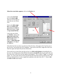**When the screen below appears,** click on the **Border** tab.

Look at the **Line Style** box in the **lower right**. There are several types of lines that you can choose from.

Point to the **thick single line** in the **Styles Area (see arrow)** and **click** the **left** mouse button. A **box** will **go around the line**.

Look at the area which says **Border.** Point to the **upper part of the Text line box (see arrow)** and **click** the **left** mouse button. A **thick black line will appear** at the **top** of the **Text** box.

| Number  | Alignment                     | Font           | Border |                         | Patterns   Protection                                                     |  |
|---------|-------------------------------|----------------|--------|-------------------------|---------------------------------------------------------------------------|--|
| Presets |                               |                |        | -Line                   |                                                                           |  |
|         |                               |                | ψĴ     | Style:                  |                                                                           |  |
|         | None                          | <b>Outline</b> | Inside |                         | None<br>                                                                  |  |
| Border  |                               |                |        |                         |                                                                           |  |
| ₩       |                               |                |        |                         |                                                                           |  |
| EE      |                               |                |        |                         |                                                                           |  |
| 鼠属      |                               | Text           |        |                         |                                                                           |  |
| E       |                               |                |        | Color:                  |                                                                           |  |
| Z       | E                             | E              | E      | $\overline{\mathbb{N}}$ | Automatic                                                                 |  |
|         |                               |                |        |                         | The selected border style can be applied by clicking the presets, preview |  |
|         | diagram or the buttons above. |                |        |                         |                                                                           |  |

If the thick line does not show-up at the top of the Text box, click-again at the "top line area in the Text box" area and the line will "disappear". Then click-on the thick, single line in the Line Style box again and repeat the previous instructions.

The second way to insert lines into the text box is to **click on the buttons** surrounding the text box area. Try clicking some of the different line buttons **on and off** until you get used to the way they insert lines, notice how the lines appear and disappear. This is called a "toggle" in computer jargon. So, work at this until you have just the thick line showing at the top of the text box. We have just indicated that we want a single thick underline at the top of the cell C7. Point to **OK**  and **click** the **left** mouse button.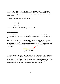Now that we have **returned** to the **spreadsheet, click on cell D7,** (this is called "**clicking away**." Sometimes the when working in a particular cell the highlight box hides the lines and clicking away allows you to view the cell you just formatted. You should now **see** a **line** at the **top** of cell **C7**.

Now, type the following numbers into the indicated cells:

| C11 | 30  |
|-----|-----|
| C12 | 50  |
| C13 | 150 |
| C14 | 70  |

Now, **underline** the **top** of cell **C15** like you did in cell **C7**.

# **Widening Columns**

As we noticed earlier, **some** of the **words** were just **too wide** for the default **cell width** (Investments and Miscellaneous - just like Bonzo). Let's now **widen column B** to take care of this.

Slowly move the mouse cursor to the upper border where the column letters are shown, then move your cursor to the **right edge** of the **B** cell (**between the B and the C**). It will turn into an **arrow pointing left and right with a small vertical line in the middle. Hold down** the **left** mouse button and move your mouse to the right, **dragging the vertical line to the right.** 



As soon as you **start to drag** a **dotted vertical line** will **go down the spreadsheet** and **move as you hold down the left button and drag the mouse**. **Keep dragging** to the right **until** you are **past** the **widest word** and a bit more (for some space). Release the button. The column is now visibly wider than it was before. Try resizing the column again, this time notice in the upper left corner of the screen, below File in the menu bar, and above the buttons, that as you hold down and drag that it tells you the current width of the column you are resizing.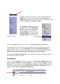

The third and **easiest way** to widen a column is to **let MS Excel do the work for you**.

Once again slowly move the mouse cursor to the upper border where the column letters are shown, then move your cursor to the **right edge** of the **B** cell (**between the B and the C**). Unlike last time, when you see your cursor change into an arrow pointing to the left and right **hold your mouse steady and then click your left mouse button twice quickly.**

When using this *double click* **method** MS Excel automatically changes the column width to fit the longest entry within the column.

# **Inserting Rows**

Oops... we made a **mistake** (on purpose in this case). We **haven't left enough room** at the top of the spreadsheet **to insert** some budget **months**. So... move the cursor to the **gray 2** along the **left** edge (this is the second row) **so we can insert two new rows. Click** the **left** mouse button. You will notice that the whole row goes **blue and the 2 turns black. Make sure** the cursor **arrow** is either **on the 2** or **somewhere in the blue row**.

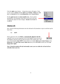Click the **righ**t mouse button. A drop down menu will appear. Point to your cursor to **Insert** and then **click** the left **button**. **Notice** how **one row** was **inserted** and how **everything below row 2 moved down**.

Do this **again on row 2** to **insert another row**. Excel, and all spreadsheets, will remember where they moved your work and automatically adjust for these changes. **Income** should **now** be in **cell A5**.

# **Aligning Cells**

Now, type the following information into the indicated cell (remember to type in and then tap the Enter key):

### **C3 SEPT**

Notice again how the word **SEPT** is **automatically aligned to the left**. Logically, since you are using MS Excel in the English version, the text is left aligned so that all of the text lines up nicely in the column cells. One

way to horizontally **center SEPT** in the column is to simply **click-on** the **Center button** in the **button bar** at the **top of the screen**. **Make sure** that you are **ON cell C3** when you click (**see image above right**).

*Note: Using this method will only horizontally center your text within the cell and will not vertically center your text.* 



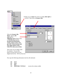

Now type the following information into the cells indicated.

|    | D <sub>3</sub> OCT       |                            |
|----|--------------------------|----------------------------|
| E3 | <b>NOV</b>               |                            |
| F3 | DEC                      |                            |
|    | <b>G3 MONTHLY TOTALS</b> | (correct the column width) |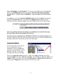**Next we'll highlight** cells **D3 through G3**. To do this, point to **D3** and click the **Left** Mouse button. Then, **holding down** the left mouse button, *slowly* **move the mouse to the right through cell G3 – when the cells are highlighted – take your finger off of the left mouse button**.

Now **point** your cursor to the **group of highlighted cells** and click the **right** mouse button to bring up the **Format Cells** menu. Left click on the **Alignment tab** and change both the horizontal and vertical setting to **Center**. Then point to **OK** and click the left mouse button.

| Janie's Budget |  |      |  |  |
|----------------|--|------|--|--|
|                |  |      |  |  |
| RED            |  | 4E E |  |  |
|                |  |      |  |  |

*Note: You could also click the Center button as you did before, but remember that using the center button will only horizontally center your text.* 

**Now that you have centered the text, MONTHLY TOTALS** will **not fit its cell space.** But, you know what to do. Move the cursor over the line between cells G and H and drag the line to the right to widen the G cell just like you did a few minutes ago.

### **Saving Spreadsheets**

We have done quite a bit of work so now is a good time to save our spreadsheet. Point to the **File** menu at the top of the spreadsheet. Point to **Save As.** Left click. A sub-menu box appears like the one at the right.

| <b>Save As</b> |                            |  |
|----------------|----------------------------|--|
| Save in:       | (C)                        |  |
|                | Desktop                    |  |
|                | My Computer<br>Web Folders |  |
| History        | 31/2 Floppy (A:)           |  |
|                | ⊜ (⊂)                      |  |
|                | system_save (D;)           |  |

Notice in the **upper left corner** that there is a "**box**" to the **right** of **Save In:** with a down pointing **triangle** to the right. **Click-on** the **triangle**. This will **show** you **all** of the "**drives**" and "**folders**" where you may save your work**. Put a formatted 3 ½ diskette in the A Drive,** then click-on the **3 ½ Floppy (A):** ; this is where you will save your work.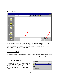You will then see:

| Save As             |                                                                                                                                                               | RX |
|---------------------|---------------------------------------------------------------------------------------------------------------------------------------------------------------|----|
| Save in:            | $\overline{\blacksquare}$ $\Leftrightarrow$ $\text{E}$ $\text{R}$ $\times$ $\text{C}$ <sup>3</sup> $\text{E}$ $\text{F}$ tools $\text{*}$<br>31/2 Floppy (A:) |    |
| m.<br>۳<br>History  |                                                                                                                                                               |    |
| My Documents        |                                                                                                                                                               |    |
| Desktop             |                                                                                                                                                               |    |
| m<br>₩<br>Favorites |                                                                                                                                                               |    |
| Web Folders         | mybudget<br>File name:<br>Ч<br>Save                                                                                                                           |    |
|                     | Save as type:<br>Microsoft Excel Workbook (*.xls)<br>Cancel                                                                                                   |    |

At the bottom of the box and to the right of **File name: Delete** the information that is in the box, (usually Book1.xls) and **type in** *Mybudget*. This is the name under which you are saving your file. (In the future you will choose logical names for your spreadsheets as you save them.) Now point to **Save** and click the left mouse button.

### **Exiting Spreadsheets**

Anytime you need to leave your spreadsheet simply click on **File** in the **menu bar**, then click-on **Exit**. If you **have not saved** your spreadsheet, a reminder box will appear **asking you to do so**.

# **Retrieving Spreadsheets**

When you need to **return to a spreadsheet** you first load Excel, as you did originally. When Excel is on the screen, click-on **File** in the menu bar then click-on **Open**. The Open Menu will appear.

| File Edit View Insert<br>Format Tools Data<br>- W |
|---------------------------------------------------|
| Ctrl+N                                            |
| Ctrl+O                                            |
| Ctrl+S                                            |
|                                                   |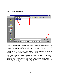The following menu screen will appear:

| Open           |                |                                                                                     |  |                                                              |     | R <sub>X</sub> |
|----------------|----------------|-------------------------------------------------------------------------------------|--|--------------------------------------------------------------|-----|----------------|
| Look in:       | 3% Floppy (A:) |                                                                                     |  | $+ 6$ $\alpha \times 1$ $\overline{m}$ $\cdot$ Tools $\cdot$ |     |                |
| Ø.<br>History  | mybudget.xls   |                                                                                     |  |                                                              |     |                |
| My Documents   |                |                                                                                     |  |                                                              |     |                |
| Desktop        |                |                                                                                     |  |                                                              |     |                |
| ₩<br>Favorites |                |                                                                                     |  |                                                              |     |                |
|                | File name:     |                                                                                     |  |                                                              | لمس | Open           |
| Web Folders    | Files of type: | All Microsoft Excel Files (*.xl*; *.xls; *.xlt; *.htm; *.html; $\blacktriangledown$ |  |                                                              |     | Cancel         |

**Click** on the **down triangle** to the right of the **Look in:** box (Similar to the triangle in the Save in: box). Click-on the **3 ½ Floppy (A:)**. Files saved on the disk will appear in the box below. **Click-on** your file (**MYBUDGET**), then click-on **OK**. Your file will be opened.

### *Note: If you view your diskette using Windows Explorer or the My Documents Icon located on the desktop you could also double-click quickly on the file to open it.*

Also, if you have not done so already, **move your cursor slowly over the "buttons" located below the menu bar**. You will notice a **little box** appears that tells you what these buttons do. These little boxes are called **Text Help** boxes. Many of them will **save** you extra "**clicks**" by using them. Notice, that under File and Edit in the Menu bar, there are a small folder (Open) and a diskette (Save). Clicking-on them will take you directly to Open and Save.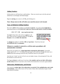### **Adding Numbers**

In this section we will learn how to add numbers. There are several ways to do this and each method has its advantages and disadvantages.

Begin by **moving** your cursor to cell **C9,** and clicking-on it.

### *Note: Always move to the cell where you want the answer to be located.*

### **Type- in Method of Adding Numbers**

We want to **add** the three numbers in cells **C6, C7 and C8**. To use this method **type-in** the following formula in cell **C9, DO NOT ADD ANY SPACES BETWEEN YOUR ENTRIES**:

 $= C6 + C7 + C8$  (now tap the enter key)

The **total** of these three cells will now **appear** in cell **C9**. When you have completed typing you will **see** this **formula** in the area **below the menu bar**.



Go **change** the number in cell **C6** to **500** (and **tap Enter**). Watch how the total **AUTOMATICALLY recalculates.** 

# **Whenever a number is entered in a cell the entire spreadsheet will automatically recalculate.**

Notice how you typed in an **= (equal sign) before entering the cell locations?** If you had simply typed in  $C6 + C7 + C8$  without the equal sign Excel would have thought this entry was a **word** and just like entering words this entry would have shown as you typed it.

Any time you "create" an error in Excel, you can simply re-type, or by pressing the F2 key, edit the formula to correct the error.

The Type in Method is really easy if you have a **few numbers and can see their cell locations on the screen,** however if you have a lot of cells in the formula this is not such a great method.

# **Subtraction, Multiplication, and Division**

You can put in **a minus sign (-) for subtraction, an asterisk** (\*) for multiplication, and a slash **(/) for division.** Later in this course we'll use some of these other mathematical signs to build some effective formulas.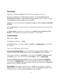### **Point Method**

Again move to cell **C9** and **click-on it**. We'll now add the numbers a second way.

**First**, **tap** the **equal key (=)** and **then move** the **cursor** to cell **C6 using either the arrow movement keys or mouse**, now **tap** the **plus key (+)** and **move** the cursor to cell **C7**, now **tap** another **plus key (+)** and then **move** the cursor to **cell C8**.

(**Notice** how as you click the plus key (**+) and click on cells,** the addition **formula is being built in cell C9**).

Now tap **the Enter key**. The same formula we constructed previously has now been built using this method.

This **point method** is good when you need to move to **numbers that are spread out all over the place**. Some people like it best and use it all the time -- it's your choice.

### **Function Method**

**Move** again to **cell C9**.

Now **type in** the following: =**sum(**

[This **tells Excel** that we are going to **sum** some **numbers** in a **Range of cells** which will follow the  $=SUM(.)$ 

There are now **two ways** to put in this range:

**Arrow Key and Anchor Method**: Using the **arrow keys, move the cursor to cell C6**. As you move you will notice that the **cell** where the cursor is located **appears** after your **=SUM(**.

When you get to **C6** tap the **. (Period) Key.** This is called an **ANCHOR** and **holds one end** of the **RANGE** in place. You will notice that a **C6:C6 appears**. This is a **one cell range**.

Now **move with the arrow keys to cell C8**. See how cells **C6, C7 and C8 are highlighted**. This indicates the **Range is C6:C8**. Excel assumes, logically, that these are the numbers you want to add. Now tap **Enter**. The numbers still add, but now the formula reads =**SUM(C6:C8)**  instead of =C6+C7+C8 like it did before.

**Mouse Method**: Move again to cell **C9**. Type in =**SUM(** like you did before. Now point your mouse cursor to Cell **C6**. Hold down the left mouse button and **drag** the highlight down to cell **C8**. (Cells C6, C7 and C8 should be highlighted.) Now tap **Enter**.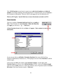This **=SUM Function** we just learnt is a great way to **add a lot of numbers, or a block of numbers**. By simply anchoring, and using page downs or using the mouse, you can highlight a lot of numbers to add quickly. However, since it only sums you can't do subtraction, etc.

*Point to cell C9 again. Tap the Delete key to remove the formula currently in cell C9.* 

### **Paste Function**

There are a number of **formulas built into Excel** that are **similar** to Window Help **Sum**. These formulas are called **Functions**. **Below the Menu Bar**  $\cap$  -  $\bigcirc$   $\Sigma$   $f$  (see **right**) you will see an  $'' f_x$  ". **Click on it.** 

**A Paste Function Screen** like the one **below** will **appear. Take a minute to read over the information**.

| Most Recently Used<br>All<br>Financial<br>Date & Time<br>Math & Trig<br>Statistical<br>Lookup & Reference<br>Database<br>Text<br>Logical<br>Information | <b>ISUM</b><br>AVERAGE<br>IF<br><b>HYPERLINK</b><br>COUNT<br>MAX<br><b>SIN</b><br><b>SUMIF</b><br><b>PMT</b><br><b>STDEV</b> |  |
|---------------------------------------------------------------------------------------------------------------------------------------------------------|------------------------------------------------------------------------------------------------------------------------------|--|
| SUM(number1,number2,)                                                                                                                                   |                                                                                                                              |  |
| Adds all the numbers in a range of cells.                                                                                                               |                                                                                                                              |  |

As you can see, there are **all kinds** of **formulas** (**functions**) that come with Excel (e.g. Statistical, Mathematical, Financial, etc.). We're going to use one of these **functions** to add the numbers again.

Click-on the word **All** in the window under **Function Category:** On the right, under **Function Name** you will see a list of **all the function**s in Excel. Click-on the **down triangle**  until you come to **SUM**, click-on it. Notice the small box with a **?** (question mark) in the **lower left corner** of the Paste Function window. **Click-on it**.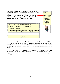

You will **now see** a **Microsoft Excel Help window** appear (**similar** to the one on the **next page**) that will show you **how to use** this **SUM function**, or any function. One of the really **useful** things about these Help windows is that there are **examples** for each function (see **arrow** on **next page**). Take a couple of minutes to look over the SUM Help window and notice all of the features.

Now that we have had a quick review of the Help features, **carefully click**-on the **X** at the **upper right corner** of the blue bar to close the Microsoft Excel Help window (see **arrow** on **next page)**. If you accidentally close the spreadsheet, simply reply yes to Save, and then re-open the spreadsheet.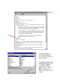



The **Paste Function** menu screen will again appear, click on **OK**. The following menu will appear.

If the **Office Assistant** is **still on the screen** simply point to it and **click** the **RIGHT** mouse button. A pop-up **menu** will appear. Click-on **Hide**. This will put the Assistant away until you need it again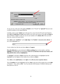| SUM |                                           |                                                                                                                                               |
|-----|-------------------------------------------|-----------------------------------------------------------------------------------------------------------------------------------------------|
|     | Number1 G6:C8                             | $=$ {300;50;150}                                                                                                                              |
|     | Number <sub>2</sub>                       | $=$ number                                                                                                                                    |
|     |                                           | $= 500$                                                                                                                                       |
|     | Adds all the numbers in a range of cells. |                                                                                                                                               |
|     |                                           | <b>Number1:</b> number1,number2, are 1 to 30 numbers to sum. Logical values and text<br>are ignored in cells, included if typed as arguments. |
|     | Formula result $=1000$                    | Cancel<br>ОК                                                                                                                                  |

As you can see, in the area to the right of **Number 1**, the "Wizard" has **"guessed"** that you want to add the numbers in the range **C6 to C8**.

Carefully, point to some **"plain"** part in the gray box, (away from the OK and Cancel buttons) then **click** and **hold down** the **left** mouse button, now move your mouse to the right and **drag** the above SUM box **"away"** so that you can see your numbers in **C column cells**. Once you have done this, release the mouse button.

Now **click**-on the "**small box**" on the **right edge** of the **Number 1 area (see arrow above)**. It has a little **red arrow** in it.

A new window box like the one shown **above** will **appear**.

**Press the delete key** on your keyboard to **Delete anything** that is in the window, and then, **highlight** cells **C6 to C8** in the spreadsheet *(click-on C6, hold down the left mouse button, and drag until the three cells are highlighted.).*

A **"marquee"** will begin to **flash** around the cells, indicating they are highlighted and the highlighted cell will appear in the window box as shown as **above**.

Now **click**-on the **small button** on the **right** of the **cell** (**see arrow in picture above**).

The cell **numbers** you just highlighted will now **show** in the area of the window box to the **right** of Number 1. Now, click-on **OK**. You'll see that the SUM formula [=SUM(C6:C8)] has now been placed in Cell C9.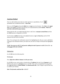# **AutoSum Method**

Since we add numbers more than any other operation in spreadsheets, Excel spreadsheet has an additional feature - **Auto Sum**.

# Σ

Move to cell **C9 again** and tap the **delete** key to **erase** your last formula. Now **look** at the **upper area** of the **screen**, just below the menu bar, for a  $\Sigma$  (summation) symbol **button**. **Point to it and click with the left mouse button.** 

Notice that the cells, you might logically desire to add, have a **marquee around them** and that the **SUM** function is displayed in cell **C9**.

You'll need to **confirm** that this is the **correct** formula so **tap** the **Enter key** and the SUM function will now be set in cell **C9**.

Note: You can bypass the confirmation step by first highlighting the cells you want to add before clicking on the summation button, just make sure you leave an empty cell beyond the highlighted cells.

*TASK: Now move to cell C17 and practice adding the total Expenses in cells C13 to C16 – try using each of the four methods.* 

# Subtraction

In cell **A19** enter the following title**:** 

### **Net Income**

### Now **adjust the width of column A to fit your entry**.

In cell **C19** we now want to place a formula that will **subtract** the total of our **Expenses** in cell **C17** from the total of our **Income** shown in cell **C9**. This can be accomplished by using either the **Type-In** Method or **Point Method**. *Go ahead and do this.* Don't forget to tap the Enter key to confirm your formula.

### *Hint: The formula could look like =C9-C17*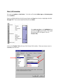# **More Cell Formatting**

We want our **numbers** to **look better**. To do this we'll include **dollar signs** and **decimal points** in our **numbers**.

Point to cell **C6**, hold down the left mouse button and **drag** down slowly to high light cells **C6 through C19**. Your screen should look like the one **below**.

| 4              |            |               |     |
|----------------|------------|---------------|-----|
| 5              | Income     |               |     |
| 6              |            | Parents       | 300 |
| $\overline{I}$ |            | Job           | 50  |
| 8              |            | Investments   | 150 |
| 9              |            | Total         | 500 |
| 10             |            |               |     |
| 11             |            |               |     |
| 12             | Expenses   |               |     |
| 13             |            | Food          | 30  |
| 14             |            | Beverages     | 50  |
| 15             |            | Parties       | 150 |
| 16             |            | Miscellaneous | 70  |
| 17             |            | Total         | 300 |
| 18             |            |               |     |
| 19             | Net Income |               |     |
| วค             |            |               |     |

Now **point anywhere** in the **highlighted** area and click the **right** mouse button. Once again that pop-up menu will appear, click on **Format Cells.**

Click-on the **Number Tab** at the top of the Format Cells window. Point your mouse cursor to **Currency** and click-on it.

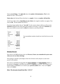Notice **several things:** The **right side** shows the **number of decimal places. The 2** is the default for cents. We'll use the 2.

**Notice above** the Decimal Places that there is a **sample** of what our **number will look like**.

At the lower right it shows**, depending on your choice,** how negative numbers can appear. Now click-on **OK**. All the numbers now have \$.

If you have large numbers that are **"too wide"** for the current column width you will see some **########** displayed in the cells where these numbers are located. To get rid of **########** and show your number you just need to **widen** the columns as you did previously.

| Parents       | \$300.00 |
|---------------|----------|
| Job           | \$50.00  |
| Investments   | \$150.00 |
| Total         | \$500.00 |
|               |          |
|               |          |
| Food          | \$30.00  |
| Beverages     | \$50.00  |
| Parties       | \$150.00 |
| Miscellaneous | \$70.00  |
| Total         | \$300.00 |
|               |          |
|               | \$200.00 |
|               |          |

Your spreadsheet numbers should now look like the one on the left.

# **Division Percent**

Now move to cell **A21** and type in the word **Percent. (I know you remembered to press enter when you were are done entering).** 

We're going to calculate a percentage to show how division works and give us some more practice with numbers.

Now move to cell **C21** and using either the **Type-In Method** or the **Point Method,** divide ( **/** ) the amount for **Income** in cell **C9** by the amount for **Expenses** in cell **C17**. This will give you a horrid number (1.666666667) so we need to put a **percent symbol** with it. Now we'll **repeat** what we did **above**.

### *Hint: The formula should look like =C9/C17*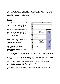Point to **C21** and click the **right** mouse button. Point to **Format Cells -then the Number Tab –** then click-on **Percent from the Category List. Use the small up/down arrows to change the decimal places from 2 to 0 (zero)**. **Click OK**. *Good news, our percent total now tells us that our income is 167% higher than our expenses.* 

### **Copying**

We could repeat what we did to this point and manually fill in the Income and Expenses for each of the remaining columns, but there is a **simpler way** to do this.

**Assuming** our income and expense **amounts** are the **same** throughout the remaining months, we want to **copy** the **amounts** in **Column C** to **Columns D, E and F**. This will **require two "steps**."

**Move** your cursor to cell **C6**. First, we'll **highlight what we want to copy;** next we need to tell the **spreadsheet where we want to place what we've copied**.

So, point to **C6, hold down the left mouse button and drag down the column until cells C6 through C21** are highlighted. Your **highlighted area** should **look like** the one on the **right**.

|               | А          | B             | C            |
|---------------|------------|---------------|--------------|
| 1             |            |               | Janie's Budg |
| $\frac{2}{3}$ |            |               |              |
|               |            |               | <b>SEPT</b>  |
| 4             |            |               |              |
| 5             | Income     |               |              |
| 6             |            | Parents       | \$300.00     |
| 7             |            | Job           | \$50.00      |
| 8             |            | Investments   | \$150.00     |
| 9             |            | Total         | \$500.00     |
| 10            |            |               |              |
| 11            |            |               |              |
| 12            | Expenses   |               |              |
| 13            |            | Food          | \$30.00      |
| 14            |            | Beverages     | \$50.00      |
| 15            |            | Parties       | \$150.00     |
| 16            |            | Miscellaneous | \$70.00      |
| 17            |            | Total         | \$300.00     |
| 18            |            |               |              |
| 19            | Net Income |               | \$200.00     |
| 20            |            |               |              |
| 21            | Percent    |               | 167%         |
| 22            |            |               |              |

Now, point to **Edit** in the top menu bar. Click the **left** button and point to **Copy** in the menu that appears. Click the **left** button. The menu disappears.

You will **notice** that once again, when you **highlight** an area, a **marquee** of running lights moves **around** the **copy area**. This allows you to visually confirm that you highlighted the correct area.

Now we'll tell the program **where to copy** the information. Point to cell **D6, click and hold down the left mouse button and drag down and to the right until you reach cell F21** (This will **highlight three columns -- OCT, NOV, DEC**.).

*When you have finished the cell highlighting, your screen should look like the one on the next page.*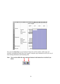|                           | А          | B             | C              | D   | E          | F   |                          |
|---------------------------|------------|---------------|----------------|-----|------------|-----|--------------------------|
| 1                         |            |               | Janie's Budget |     |            |     |                          |
| $\overline{2}$            |            |               |                |     |            |     |                          |
| $\overline{\overline{3}}$ |            |               | <b>SEPT</b>    | OCT | <b>NOV</b> | DEC | $\overline{\phantom{a}}$ |
| $\overline{4}$            |            |               |                |     |            |     |                          |
| 5                         | Income     |               |                |     |            |     |                          |
| 6                         |            | Parents       | \$300.00       |     |            |     |                          |
| $\overline{I}$            |            | Job           | \$50.00        |     |            |     |                          |
| 8                         |            | Investments   | \$150.00       |     |            |     |                          |
| 9                         |            | Total         | \$500.00       |     |            |     |                          |
| 10                        |            |               |                |     |            |     |                          |
| 11                        |            |               |                |     |            |     |                          |
| 12                        | Expenses   |               |                |     |            |     |                          |
| 13                        |            | Food          | \$30.00        |     |            |     |                          |
| 14                        |            | Beverages     | \$50.00        |     |            |     |                          |
| 15                        |            | Parties       | \$150.00       |     |            |     |                          |
| 16                        |            | Miscellaneous | \$70.00        |     |            |     |                          |
| 17                        |            | Total         | \$300.00       |     |            |     |                          |
| 18                        |            |               |                |     |            |     |                          |
| 19                        | Net Income |               | \$200.00)      |     |            |     |                          |
| 20                        |            |               |                |     |            |     |                          |
| 21                        | Percent    |               | 167%           |     |            |     |                          |
| າາ                        |            |               |                |     |            |     |                          |

Now press the **Enter Key** on your keyboard. Notice how all the numbers, dollar signs and formulas, including the border lines were copied? Using the copy command can save you a lot of time entering information and formatting cells.

### **Note: You can also utilize the copy and paste buttons in the button bar to do this if you desire.**

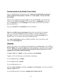### **Entering formulas in the Monthly Totals Column**

Move to cell **G6** under the title Monthly Totals. **Choose one of the formulas you learned earlier to add each of the amounts** in **Parents** for the **four months**. **Use any one of the four methods**.

After you have completed your formula **copy** it to the cells **G7 to G19**. You will see some **"**\$0.00**"** in cells **G10, 11, 12, and 18**. This is because there is "**nothing there**" to add. So, go in and **clean-up** these cells by **deleting** the zeros in these cells. (Click on the cell and press your delete key).

Next, go to **G9 and G17** and **underline** like you've did before.

**Notice** that **we didn't copy** the **percentage** formula when we started this last copying effort. If we had copied a **SUM** formula into cell **G21** it would have added the four percentages. We don't want the sum of the percentages; we **want** a **percentage** of the Monthly Totals. So, we need to copy this percentage separately.

Now, **copy** the **percentag**e formula in cell **F21** to cell **G21**. Next, if you need to, put **\$** signs in cells **G6 through G19**.

### **Absoluting**

There are times when we are working with a spreadsheet that we **do not want** a cell to **"roll" to the next column** when we **use** the **copy** feature of the spreadsheet – like it did in our last copying exercise. *(Roll means that the copied formula automatically adjusts itself to the new cell by changing the cell locations within the formula).*

To **stop** the **cells** from "**rolling**" we utilize something called **absoluting**.

Together we'll do the following as an illustration of absoluting:

Go to cell **A23** and type-in **Number**.

Go to cell **A25** and type-in **Result**.

Go to cell **C23** and type in a **2**.

We'll now **create a formula** to multiply our **number** times **Net Income**. You may use either the **Type-in** or **Point** method.

Go to cell **C25,** and type in a formula to **multiply cell C23 times cell C19**.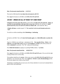#### *Hint: The formula should look like: =C23\*C19*

The result in **C25** should be **two times the net income in cell C19**.

Now **copy** the formula in cell **C25** to cells **D25, E25, F25 and G25**.

### UH OH!!! WHERE DID ALL OF THOSE "0'S" COME FROM?

**Using the arrow keys move the cursor** to each of the cells **D25, E25, F25 and G25**. **Notice, as you click on each and look at the top of the screen, how C23** (the cell with the 2) **"rolled" and became D23, E23, F23 and G23** (**which are blank cells** - and caused the **"0's"**).

A **blank cell times** a number equals "0." **We want the 2 to be in each formula and not to "roll".**

To do this we utilize something called **Absoluting** or **Anchoring**.

Go back to cell **C25**. Now we'll **enter the formula again**, but a **little differently to anchor the 2**.

Type in a **=C23** (or you could type = and point to C23). **Now tap the F4 key**. **Notice**, in the **Edit bar** at the **top of the screen**, that the **=C23 changes to: \$C\$23**. (This tells you that cell **C23** is **absoluted** or anchored. The **"\$'s"** indicate the absoluting.)

Now **finish the formula** by typing in or pointing **\*C19** as before. Tap **Enter**.

*Hint: The formula should look like: =\$C\$23\*C19* 

Now **copy** the formula in cell **C25** to cells **D25, E25, F25 and G25** again. (You can do this right overtop of those zero's in the cells).

The numbers should now be **correct**. Move your curse to cells **D25, E25, F25 and G25** like you did before. You will notice the **"\$'s"** have **copied** the **=\$C\$23** to **each cell (absoluting)** and the Net Income figures have rolled as they should.

Absoluting is something that can save you a lot of time, therefore it is one excel command that is good to know and understand.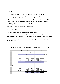# **Graphics**

As you may or may not know, graphics are an excellent way to display and explain your work.

We are now going to turn your spreadsheet numbers into graphics -- bar charts, pie charts, etc.

**Before** we can create a chart there are a couple of **essential steps**. First we have to **tell** the "Chart Wizard" **what we want to chart** and then **where** we want the chart to be placed.

In cell **B9** type *in* **Income** (to replace the word Total).

Next, in cell **B17** type in **Expenses** for the same reason.

### *VERY IMPORTANT……….*

Hold down the left mouse button and **highlight cells B3 to F3**.

Next **HOLD DOWN** the **Ctrl** key at the **bottom of the keyboard**, and **while you are holding it down, highlight cells B9 through F9**. You will now **see two different "ranges" highlighted**.

**Hold down the Ctrl again, and highlight cells B17 through F17**. These three ranges will make up your chart.

|    | А        | B               | c              | D        | E          | F          |              |
|----|----------|-----------------|----------------|----------|------------|------------|--------------|
| 1  |          |                 | Janie's Budget |          |            |            |              |
| 2  |          |                 |                |          |            |            |              |
| 3  |          |                 | <b>SEPT</b>    | OCT      | <b>NOV</b> | <b>DEC</b> | <b>MONTI</b> |
| 4  |          |                 |                |          |            |            |              |
| 5  | Income   |                 |                |          |            |            |              |
| 6  |          | Parents         | \$300.00       | \$300.00 | \$300.00   | \$500.00   |              |
| 7  |          | Job             | \$50.00        | \$100.00 | \$200.00   | \$50.00    |              |
| 8  |          | Investments     | \$150.00       | \$150.00 | \$150.00   | \$150.00   |              |
| 9  |          | Income          | \$500.00       | \$550.00 | \$650.00   | \$700.00   |              |
| 10 |          |                 |                |          |            |            |              |
| 11 |          |                 |                |          |            |            |              |
| 12 | Expenses |                 |                |          |            |            |              |
| 13 |          | Food            | \$30.00        | \$100.00 | \$30.00    | \$30.00    |              |
| 14 |          | Beverages       | \$50.00        | \$50.00  | \$50.00    | \$50.00    |              |
| 15 |          | Parties         | \$150.00       | \$150.00 | \$150.00   | \$150.00   |              |
| 16 |          | Miscellaneous   | \$70.00        | \$70.00  | \$70.00    | \$70.00    |              |
| 17 |          | <u>Expenses</u> | \$300.00       | \$370.00 | \$300.00   | \$300.00   |              |
| 18 |          |                 |                |          |            |            |              |

When you complete the previous instructions, your screen should look like the one below.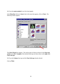We'll use the **easiest method** for our first chart (graph).

In the **Menu Bar** click-on to **Insert**, then in the menu that appears, click on **Chart.** The following window appears.

| Chart Wizard - Step 1 of 4 - Chart Type<br>Standard Types   Custom Types                                                                  | $ ?  \times$                                                                             |
|-------------------------------------------------------------------------------------------------------------------------------------------|------------------------------------------------------------------------------------------|
| Chart type:<br>Column<br>Bar<br>Line<br>Pie<br>XY (Scatter)<br>Area<br>Doughnut<br>Radar<br>Surface<br>Bubble<br>l <mark>iti</mark> Stock | Chart sub-type:                                                                          |
|                                                                                                                                           | Clustered Column. Compares values across<br>categories.<br>Press and Hold to View Sample |
| 2<br>Cancel                                                                                                                               | Next<br>$<$ Back<br><b>Finish</b>                                                        |

The **Chart Wizard** now appears. The various types of charts are shown in the **Chart type section** on the **left**. **Examples** of the selected chart type are shown show on the **right** under **Chart sub-type**.

We'll use the **Column** chart type and the **Chart Sub-type** already selected.

Click on **Next**.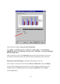

Chart Wizard now displays **what your chart will look like**.

The "**ranges**" you **selected** originally are **shown** in the **Data range:** area. **If you did not highlight the cells as were indicated, your chart won't "look right.**" **Your chart should look like the example above**.

Take a second now to click on the **Series tab** at the top of the Chart Wizard box; you'll see a new Wizard screen that shows the cells where the Income and Expenses series came from.

**Return back to the Data Range** by clicking the Data Range tab at the top.

In the "Series-in" section of the Chart Wizard, **click on** the **little circle** in front of **Columns**.

The Wizard will indicate that the chart has been "rotated" 90 degrees and thus the axis has changed. Return to the **Row** display type by clicking the **small circle** in front of **Rows**.

Click the **Next** button.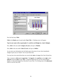

Now the final step: **Titles**.

**Click**-in the **blank** space located under **Chart Title**. A flashing cursor will appear.

### **Type in your name with an apostrophe (') s and the word Budget (ex. Janie's Budget).**

Now, **click**-in the area under **Category (X) axis:** and type in: **Months**.

Next, **click**-in the area under **Value (Y) axis:** and type in: **Dollars**.

As you enter your information into the blank spaces the picture of your chart immediately changes to give you an "instant" view of your final chart.

You may have also noticed that there are several other **tabs** at the **top** of the Chart Wizard box.

Take a moment to **click on** the **Legend tab**. The **legend** is the **small box** on the **right**, which **indicates** what the **colors** of the "**bars**". Using this legend tab you can turn off the legend display, or relocate the legend box elsewhere in your chart. Try clicking some of the **placement** choice to see how they look.